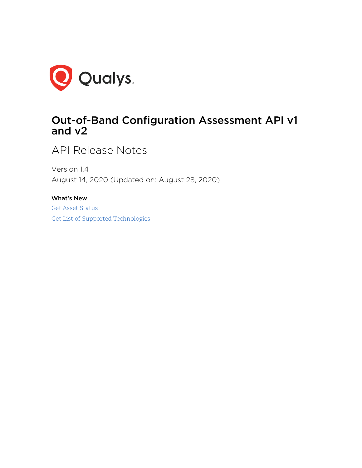

# Out-of-Band Configuration Assessment API v1 and v2

API Release Notes

Version 1.4 August 14, 2020 (Updated on: August 28, 2020)

What's New [Get Asset Status](#page-1-0) [Get List of Supported Technologies](#page-3-0)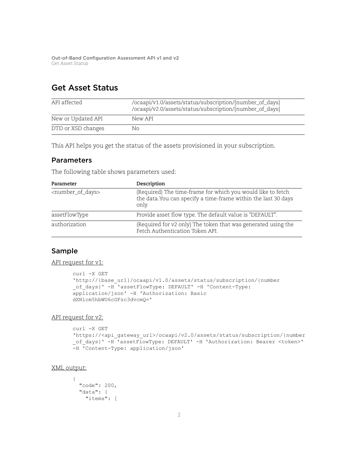# <span id="page-1-0"></span>Get Asset Status

| API affected       | /ocaapi/v1.0/assets/status/subscription/{number_of_days}<br>/ocaapi/v2.0/assets/status/subscription/{number_of_days} |
|--------------------|----------------------------------------------------------------------------------------------------------------------|
| New or Updated API | New API                                                                                                              |
| DTD or XSD changes | Nο                                                                                                                   |

This API helps you get the status of the assets provisioned in your subscription.

### Parameters

The following table shows parameters used:

| Parameter                         | Description                                                                                                                            |
|-----------------------------------|----------------------------------------------------------------------------------------------------------------------------------------|
| <number_of_days></number_of_days> | (Required) The time-frame for which you would like to fetch<br>the data. You can specify a time-frame within the last 30 days<br>only. |
| assetFlowType                     | Provide asset flow type. The default value is "DEFAULT".                                                                               |
| authorization                     | (Required for v2 only) The token that was generated using the<br>Fetch Authentication Token API.                                       |

## Sample

#### API request for v1:

```
curl -X GET
'http://{base_url}/ocaapi/v1.0/assets/status/subscription/{number
of days}' -H 'assetFlowType: DEFAULT' -H 'Content-Type:
application/json' -H 'Authorization: Basic
dXNlcm5hbWU6cGFzc3dvcmQ='
```
#### API request for v2:

```
curl -X GET 
'https://<api_gateway_url>/ocaapi/v2.0/assets/status/subscription/{number
_of_days}' -H 'assetFlowType: DEFAULT' -H 'Authorization: Bearer <token>' 
-H 'Content-Type: application/json'
```
#### XML output:

{

```
 "code": 200,
 "data": {
   "items": [
```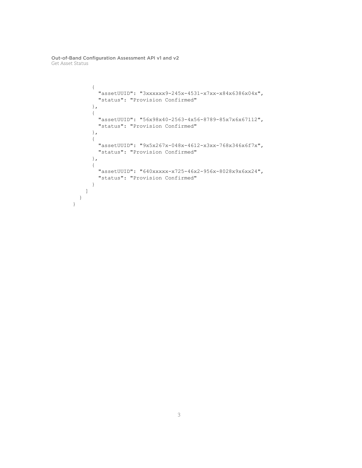```
 {
         "assetUUID": "3xxxxxx9-245x-4531-x7xx-x84x6386x04x",
         "status": "Provision Confirmed"
       },
       {
         "assetUUID": "56x98x40-2563-4x56-8789-85x7x6x67112",
         "status": "Provision Confirmed"
       },
       {
         "assetUUID": "9x5x267x-048x-4612-x3xx-768x346x6f7x",
         "status": "Provision Confirmed"
       },
       {
         "assetUUID": "640xxxxx-x725-46x2-956x-8028x9x6xx24",
         "status": "Provision Confirmed"
       }
    ]
   }
}
```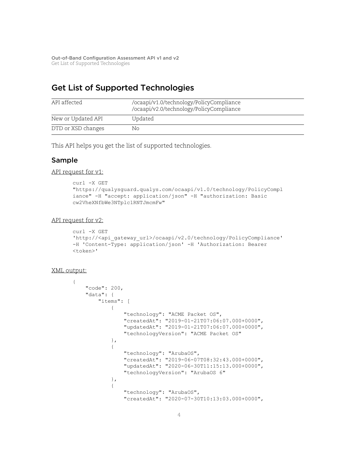# <span id="page-3-0"></span>Get List of Supported Technologies

| API affected       | /ocaapi/v1.0/technology/PolicyCompliance<br>/ocaapi/v2.0/technology/PolicyCompliance |
|--------------------|--------------------------------------------------------------------------------------|
| New or Updated API | Updated                                                                              |
| DTD or XSD changes | No.                                                                                  |

This API helps you get the list of supported technologies.

### Sample

API request for v1:

```
curl -X GET
"https://qualysguard.qualys.com/ocaapi/v1.0/technology/PolicyCompl
iance" -H "accept: application/json" -H "authorization: Basic
cw2VheXNfbWe3NTplc1RNTJmcmFw"
```
#### API request for v2:

```
curl -X GET
'http://<api_gateway_url>/ocaapi/v2.0/technology/PolicyCompliance'
-H 'Content-Type: application/json' -H 'Authorization: Bearer
<token>'
```
#### XML output:

```
{
    "code": 200,
    "data": {
        "items": [
\{ "technology": "ACME Packet OS",
                "createdAt": "2019-01-21T07:06:07.000+0000",
                "updatedAt": "2019-01-21T07:06:07.000+0000",
                "technologyVersion": "ACME Packet OS"
            },
\{ "technology": "ArubaOS",
                "createdAt": "2019-06-07T08:32:43.000+0000",
                "updatedAt": "2020-06-30T11:15:13.000+0000",
                "technologyVersion": "ArubaOS 6"
            },
\{ "technology": "ArubaOS",
                "createdAt": "2020-07-30T10:13:03.000+0000",
```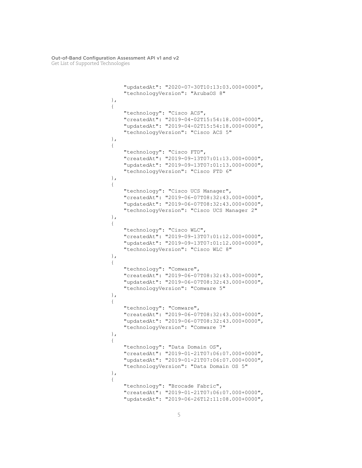```
 "updatedAt": "2020-07-30T10:13:03.000+0000",
                "technologyVersion": "ArubaOS 8"
            },
\{ "technology": "Cisco ACS",
                "createdAt": "2019-04-02T15:54:18.000+0000",
                "updatedAt": "2019-04-02T15:54:18.000+0000",
                "technologyVersion": "Cisco ACS 5"
            },
\{ "technology": "Cisco FTD",
                "createdAt": "2019-09-13T07:01:13.000+0000",
                "updatedAt": "2019-09-13T07:01:13.000+0000",
                "technologyVersion": "Cisco FTD 6"
            },
\{ "technology": "Cisco UCS Manager",
                "createdAt": "2019-06-07T08:32:43.000+0000",
                "updatedAt": "2019-06-07T08:32:43.000+0000",
                "technologyVersion": "Cisco UCS Manager 2"
            },
\{ "technology": "Cisco WLC",
                "createdAt": "2019-09-13T07:01:12.000+0000",
                "updatedAt": "2019-09-13T07:01:12.000+0000",
                "technologyVersion": "Cisco WLC 8"
            },
\{ "technology": "Comware",
                "createdAt": "2019-06-07T08:32:43.000+0000",
                "updatedAt": "2019-06-07T08:32:43.000+0000",
                "technologyVersion": "Comware 5"
            },
\{ "technology": "Comware",
                "createdAt": "2019-06-07T08:32:43.000+0000",
                "updatedAt": "2019-06-07T08:32:43.000+0000",
                "technologyVersion": "Comware 7"
            },
\{ "technology": "Data Domain OS",
                "createdAt": "2019-01-21T07:06:07.000+0000",
                "updatedAt": "2019-01-21T07:06:07.000+0000",
                "technologyVersion": "Data Domain OS 5"
            },
\{ "technology": "Brocade Fabric",
                "createdAt": "2019-01-21T07:06:07.000+0000",
                "updatedAt": "2019-06-26T12:11:08.000+0000",
```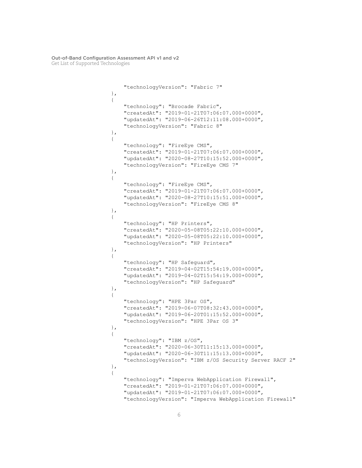```
 "technologyVersion": "Fabric 7"
            },
\{ "technology": "Brocade Fabric",
                "createdAt": "2019-01-21T07:06:07.000+0000",
                "updatedAt": "2019-06-26T12:11:08.000+0000",
                "technologyVersion": "Fabric 8"
            },
\{ "technology": "FireEye CMS",
                "createdAt": "2019-01-21T07:06:07.000+0000",
                "updatedAt": "2020-08-27T10:15:52.000+0000",
                "technologyVersion": "FireEye CMS 7"
            },
\{ "technology": "FireEye CMS",
                "createdAt": "2019-01-21T07:06:07.000+0000",
                "updatedAt": "2020-08-27T10:15:51.000+0000",
                "technologyVersion": "FireEye CMS 8"
            },
\{ "technology": "HP Printers",
                "createdAt": "2020-05-08T05:22:10.000+0000",
                "updatedAt": "2020-05-08T05:22:10.000+0000",
                "technologyVersion": "HP Printers"
            },
\{ "technology": "HP Safeguard",
                "createdAt": "2019-04-02T15:54:19.000+0000",
                "updatedAt": "2019-04-02T15:54:19.000+0000",
                "technologyVersion": "HP Safeguard"
            },
\{ "technology": "HPE 3Par OS",
                "createdAt": "2019-06-07T08:32:43.000+0000",
                "updatedAt": "2019-06-20T01:15:52.000+0000",
                "technologyVersion": "HPE 3Par OS 3"
            },
\{ "technology": "IBM z/OS",
                "createdAt": "2020-06-30T11:15:13.000+0000",
                "updatedAt": "2020-06-30T11:15:13.000+0000",
                "technologyVersion": "IBM z/OS Security Server RACF 2"
            },
\{ "technology": "Imperva WebApplication Firewall",
                "createdAt": "2019-01-21T07:06:07.000+0000",
                "updatedAt": "2019-01-21T07:06:07.000+0000",
                "technologyVersion": "Imperva WebApplication Firewall"
```